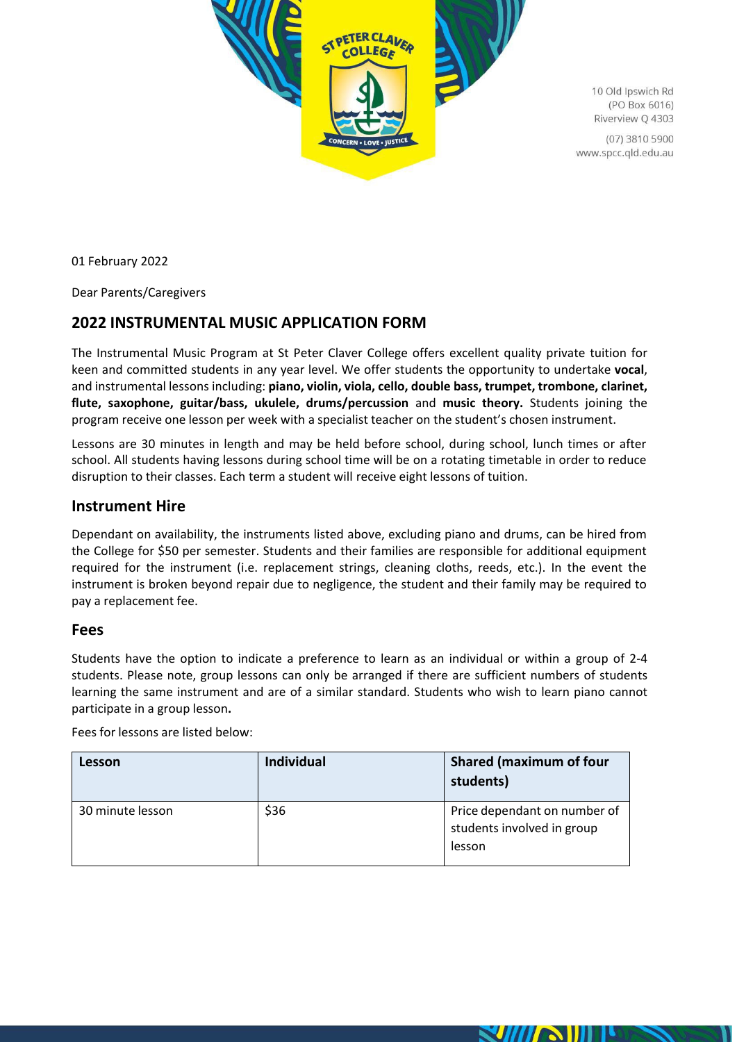

10 Old Ipswich Rd (PO Box 6016) Riverview Q 4303

(07) 3810 5900 www.spcc.qld.edu.au

01 February 2022

Dear Parents/Caregivers

# **2022 INSTRUMENTAL MUSIC APPLICATION FORM**

The Instrumental Music Program at St Peter Claver College offers excellent quality private tuition for keen and committed students in any year level. We offer students the opportunity to undertake **vocal**, and instrumental lessons including: **piano, violin, viola, cello, double bass, trumpet, trombone, clarinet, flute, saxophone, guitar/bass, ukulele, drums/percussion** and **music theory.** Students joining the program receive one lesson per week with a specialist teacher on the student's chosen instrument.

Lessons are 30 minutes in length and may be held before school, during school, lunch times or after school. All students having lessons during school time will be on a rotating timetable in order to reduce disruption to their classes. Each term a student will receive eight lessons of tuition.

#### **Instrument Hire**

Dependant on availability, the instruments listed above, excluding piano and drums, can be hired from the College for \$50 per semester. Students and their families are responsible for additional equipment required for the instrument (i.e. replacement strings, cleaning cloths, reeds, etc.). In the event the instrument is broken beyond repair due to negligence, the student and their family may be required to pay a replacement fee.

#### **Fees**

Students have the option to indicate a preference to learn as an individual or within a group of 2-4 students. Please note, group lessons can only be arranged if there are sufficient numbers of students learning the same instrument and are of a similar standard. Students who wish to learn piano cannot participate in a group lesson**.**

Fees for lessons are listed below:

| Lesson           | <b>Individual</b> | <b>Shared (maximum of four</b><br>students)                          |
|------------------|-------------------|----------------------------------------------------------------------|
| 30 minute lesson | \$36              | Price dependant on number of<br>students involved in group<br>lesson |

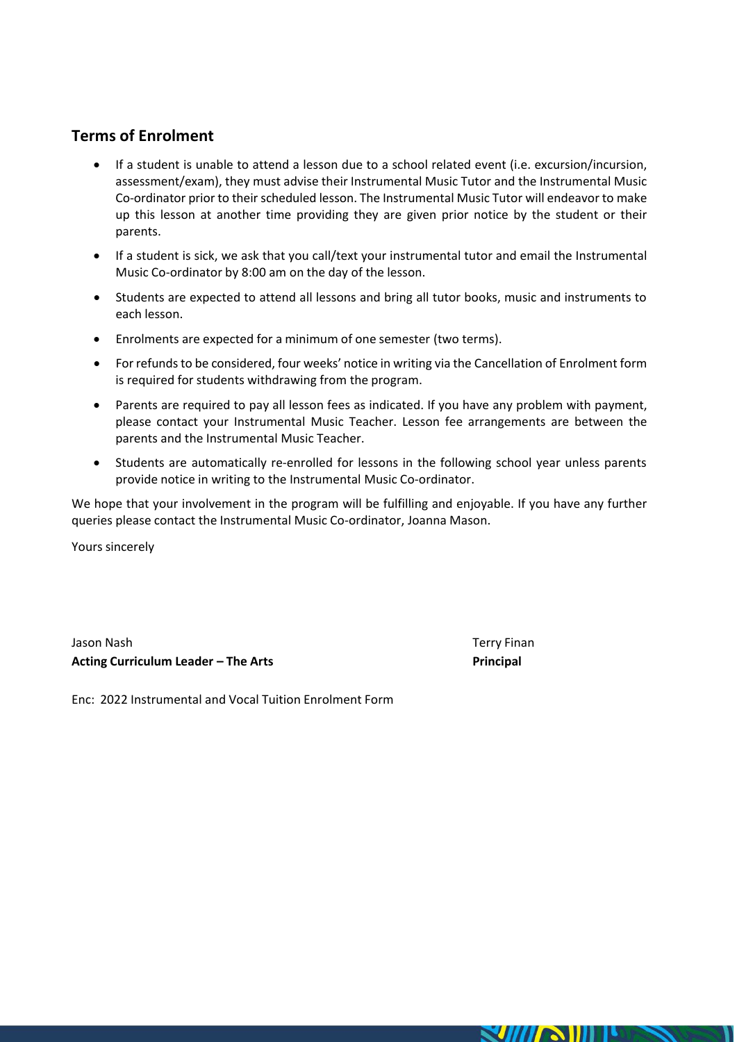# **Terms of Enrolment**

- If a student is unable to attend a lesson due to a school related event (i.e. excursion/incursion, assessment/exam), they must advise their Instrumental Music Tutor and the Instrumental Music Co-ordinator prior to their scheduled lesson. The Instrumental Music Tutor will endeavor to make up this lesson at another time providing they are given prior notice by the student or their parents.
- If a student is sick, we ask that you call/text your instrumental tutor and email the Instrumental Music Co-ordinator by 8:00 am on the day of the lesson.
- Students are expected to attend all lessons and bring all tutor books, music and instruments to each lesson.
- Enrolments are expected for a minimum of one semester (two terms).
- For refunds to be considered, four weeks' notice in writing via the Cancellation of Enrolment form is required for students withdrawing from the program.
- Parents are required to pay all lesson fees as indicated. If you have any problem with payment, please contact your Instrumental Music Teacher. Lesson fee arrangements are between the parents and the Instrumental Music Teacher.
- Students are automatically re-enrolled for lessons in the following school year unless parents provide notice in writing to the Instrumental Music Co-ordinator.

We hope that your involvement in the program will be fulfilling and enjoyable. If you have any further queries please contact the Instrumental Music Co-ordinator, Joanna Mason.

Yours sincerely

Jason Nash Terry Finan **Acting Curriculum Leader – The Arts Principal**

Enc: 2022 Instrumental and Vocal Tuition Enrolment Form

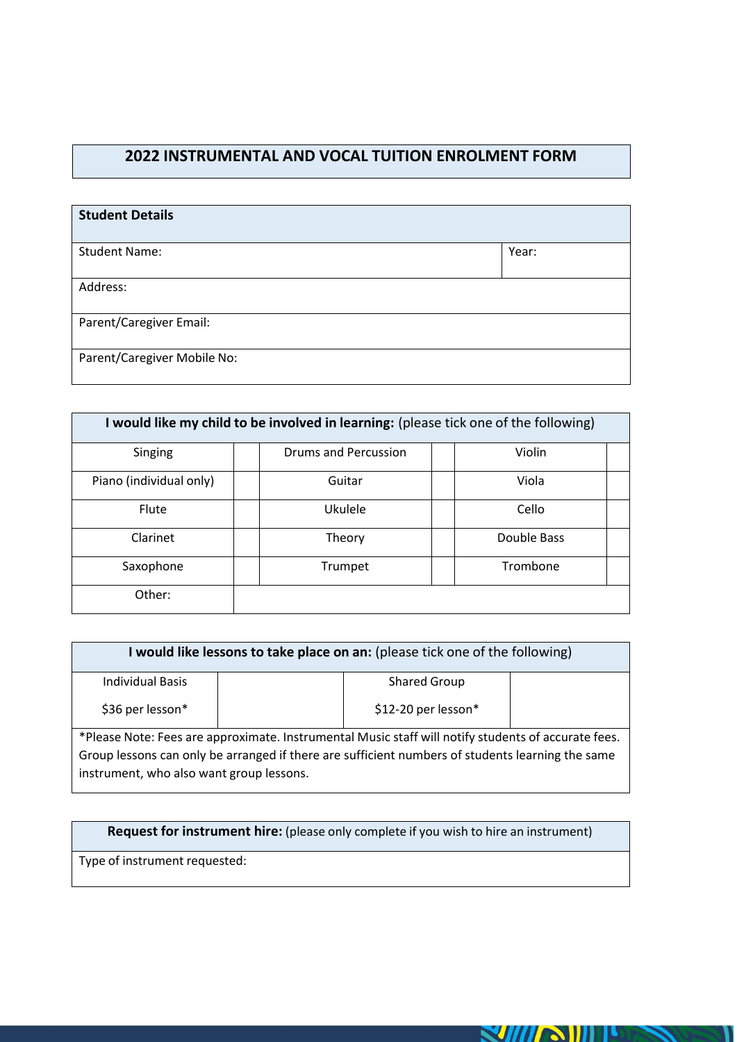### **2022 INSTRUMENTAL AND VOCAL TUITION ENROLMENT FORM**

| <b>Student Details</b>      |       |
|-----------------------------|-------|
| <b>Student Name:</b>        | Year: |
| Address:                    |       |
| Parent/Caregiver Email:     |       |
| Parent/Caregiver Mobile No: |       |

| I would like my child to be involved in learning: (please tick one of the following) |                             |             |  |
|--------------------------------------------------------------------------------------|-----------------------------|-------------|--|
| Singing                                                                              | <b>Drums and Percussion</b> | Violin      |  |
| Piano (individual only)                                                              | Guitar                      | Viola       |  |
| Flute                                                                                | Ukulele                     | Cello       |  |
| Clarinet                                                                             | Theory                      | Double Bass |  |
| Saxophone                                                                            | Trumpet                     | Trombone    |  |
| Other:                                                                               |                             |             |  |

| I would like lessons to take place on an: (please tick one of the following)                        |                     |  |
|-----------------------------------------------------------------------------------------------------|---------------------|--|
| <b>Individual Basis</b>                                                                             | Shared Group        |  |
| \$36 per lesson*                                                                                    | \$12-20 per lesson* |  |
| *Please Note: Fees are approximate. Instrumental Music staff will notify students of accurate fees. |                     |  |

Group lessons can only be arranged if there are sufficient numbers of students learning the same instrument, who also want group lessons.

**Request for instrument hire:** (please only complete if you wish to hire an instrument)

**SUITAIII** 

Type of instrument requested: